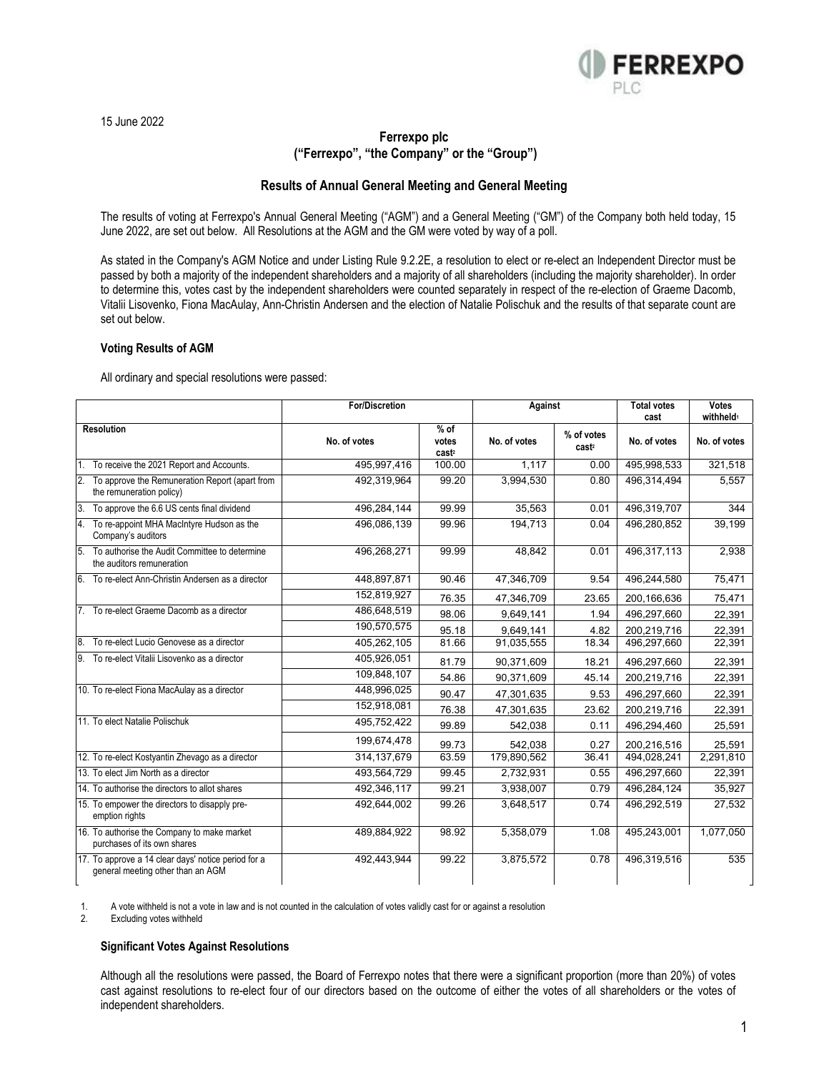

15 June 2022

# **Ferrexpo plc ("Ferrexpo", "the Company" or the "Group")**

## **Results of Annual General Meeting and General Meeting**

The results of voting at Ferrexpo's Annual General Meeting ("AGM") and a General Meeting ("GM") of the Company both held today, 15 June 2022, are set out below. All Resolutions at the AGM and the GM were voted by way of a poll.

As stated in the Company's AGM Notice and under Listing Rule 9.2.2E, a resolution to elect or re-elect an Independent Director must be passed by both a majority of the independent shareholders and a majority of all shareholders (including the majority shareholder). In order to determine this, votes cast by the independent shareholders were counted separately in respect of the re-election of Graeme Dacomb, Vitalii Lisovenko, Fiona MacAulay, Ann-Christin Andersen and the election of Natalie Polischuk and the results of that separate count are set out below.

## **Voting Results of AGM**

All ordinary and special resolutions were passed:

|                                                                                          | <b>For/Discretion</b> |                                      | Against      |                                 | <b>Total votes</b><br>cast | <b>Votes</b><br>withheld <sup>1</sup> |
|------------------------------------------------------------------------------------------|-----------------------|--------------------------------------|--------------|---------------------------------|----------------------------|---------------------------------------|
| <b>Resolution</b>                                                                        | No. of votes          | $%$ of<br>votes<br>cast <sup>2</sup> | No. of votes | % of votes<br>cast <sup>2</sup> | No. of votes               | No. of votes                          |
| 1. To receive the 2021 Report and Accounts.                                              | 495,997,416           | 100.00                               | 1.117        | 0.00                            | 495,998,533                | 321,518                               |
| I2.<br>To approve the Remuneration Report (apart from<br>the remuneration policy)        | 492,319,964           | 99.20                                | 3,994,530    | 0.80                            | 496,314,494                | 5.557                                 |
| 3.<br>To approve the 6.6 US cents final dividend                                         | 496.284.144           | 99.99                                | 35.563       | 0.01                            | 496,319,707                | 344                                   |
| 4. To re-appoint MHA MacIntyre Hudson as the<br>Company's auditors                       | 496,086,139           | 99.96                                | 194.713      | 0.04                            | 496,280,852                | 39,199                                |
| 5. To authorise the Audit Committee to determine<br>the auditors remuneration            | 496,268,271           | 99.99                                | 48,842       | 0.01                            | 496,317,113                | 2,938                                 |
| 6. To re-elect Ann-Christin Andersen as a director                                       | 448,897,871           | 90.46                                | 47,346,709   | 9.54                            | 496,244,580                | 75,471                                |
|                                                                                          | 152,819,927           | 76.35                                | 47,346,709   | 23.65                           | 200,166,636                | 75,471                                |
| 7. To re-elect Graeme Dacomb as a director                                               | 486,648,519           | 98.06                                | 9,649,141    | 1.94                            | 496,297,660                | 22,391                                |
|                                                                                          | 190,570,575           | 95.18                                | 9.649.141    | 4.82                            | 200,219,716                | 22,391                                |
| 8. To re-elect Lucio Genovese as a director                                              | 405,262,105           | 81.66                                | 91,035,555   | 18.34                           | 496,297,660                | 22,391                                |
| 9. To re-elect Vitalii Lisovenko as a director                                           | 405,926,051           | 81.79                                | 90.371.609   | 18.21                           | 496,297,660                | 22.391                                |
|                                                                                          | 109,848,107           | 54.86                                | 90,371,609   | 45.14                           | 200,219,716                | 22,391                                |
| 10. To re-elect Fiona MacAulay as a director                                             | 448,996,025           | 90.47                                | 47,301,635   | 9.53                            | 496,297,660                | 22,391                                |
|                                                                                          | 152,918,081           | 76.38                                | 47,301,635   | 23.62                           | 200,219,716                | 22,391                                |
| 11. To elect Natalie Polischuk                                                           | 495,752,422           | 99.89                                | 542.038      | 0.11                            | 496.294.460                | 25.591                                |
|                                                                                          | 199,674,478           | 99.73                                | 542,038      | 0.27                            | 200,216,516                | 25,591                                |
| 12. To re-elect Kostyantin Zhevago as a director                                         | 314, 137, 679         | 63.59                                | 179,890,562  | 36.41                           | 494,028,241                | 2,291,810                             |
| 13. To elect Jim North as a director                                                     | 493,564,729           | 99.45                                | 2,732,931    | 0.55                            | 496,297,660                | 22,391                                |
| 14. To authorise the directors to allot shares                                           | 492,346,117           | 99.21                                | 3,938,007    | 0.79                            | 496,284,124                | 35,927                                |
| 15. To empower the directors to disapply pre-<br>emption rights                          | 492,644,002           | 99.26                                | 3.648.517    | 0.74                            | 496,292,519                | 27,532                                |
| 16. To authorise the Company to make market<br>purchases of its own shares               | 489,884,922           | 98.92                                | 5.358.079    | 1.08                            | 495.243.001                | 1,077,050                             |
| 17. To approve a 14 clear days' notice period for a<br>general meeting other than an AGM | 492,443,944           | 99.22                                | 3,875,572    | 0.78                            | 496,319,516                | 535                                   |

1. A vote withheld is not a vote in law and is not counted in the calculation of votes validly cast for or against a resolution

Excluding votes withheld

#### **Significant Votes Against Resolutions**

Although all the resolutions were passed, the Board of Ferrexpo notes that there were a significant proportion (more than 20%) of votes cast against resolutions to re-elect four of our directors based on the outcome of either the votes of all shareholders or the votes of independent shareholders.